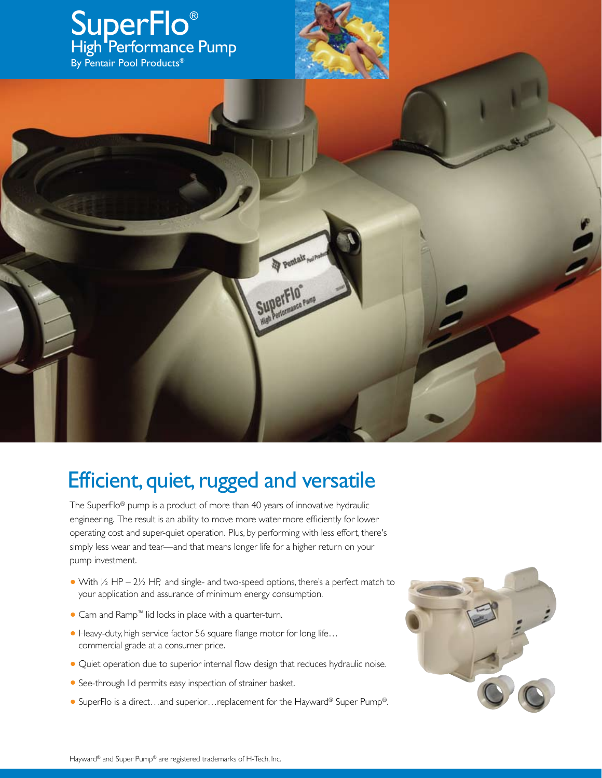

## Efficient, quiet, rugged and versatile

The SuperFlo® pump is a product of more than 40 years of innovative hydraulic engineering. The result is an ability to move more water more efficiently for lower operating cost and super-quiet operation. Plus, by performing with less effort, there's simply less wear and tear—and that means longer life for a higher return on your pump investment.

- With  $\frac{1}{2}$  HP 2 $\frac{1}{2}$  HP, and single- and two-speed options, there's a perfect match to your application and assurance of minimum energy consumption.
- **•** Cam and Ramp™ lid locks in place with a quarter-turn.
- **•** Heavy-duty, high service factor 56 square flange motor for long life... commercial grade at a consumer price.
- Quiet operation due to superior internal flow design that reduces hydraulic noise.
- **•** See-through lid permits easy inspection of strainer basket.
- **•** SuperFlo is a direct…and superior…replacement for the Hayward® Super Pump®.